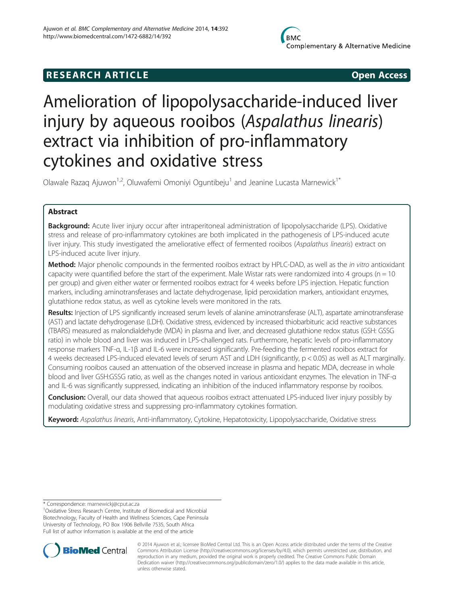# **RESEARCH ARTICLE CONSUMING A RESEARCH ARTICLE**

# Amelioration of lipopolysaccharide-induced liver injury by aqueous rooibos (Aspalathus linearis) extract via inhibition of pro-inflammatory cytokines and oxidative stress

Olawale Razaq Ajuwon<sup>1,2</sup>, Oluwafemi Omoniyi Oguntibeju<sup>1</sup> and Jeanine Lucasta Marnewick<sup>1\*</sup>

# Abstract

**Background:** Acute liver injury occur after intraperitoneal administration of lipopolysaccharide (LPS). Oxidative stress and release of pro-inflammatory cytokines are both implicated in the pathogenesis of LPS-induced acute liver injury. This study investigated the ameliorative effect of fermented rooibos (Aspalathus linearis) extract on LPS-induced acute liver injury.

Method: Major phenolic compounds in the fermented rooibos extract by HPLC-DAD, as well as the in vitro antioxidant capacity were quantified before the start of the experiment. Male Wistar rats were randomized into 4 groups ( $n = 10$ ) per group) and given either water or fermented rooibos extract for 4 weeks before LPS injection. Hepatic function markers, including aminotransferases and lactate dehydrogenase, lipid peroxidation markers, antioxidant enzymes, glutathione redox status, as well as cytokine levels were monitored in the rats.

Results: Injection of LPS significantly increased serum levels of alanine aminotransferase (ALT), aspartate aminotransferase (AST) and lactate dehydrogenase (LDH). Oxidative stress, evidenced by increased thiobarbituric acid reactive substances (TBARS) measured as malondialdehyde (MDA) in plasma and liver, and decreased glutathione redox status (GSH: GSSG ratio) in whole blood and liver was induced in LPS-challenged rats. Furthermore, hepatic levels of pro-inflammatory response markers TNF-α, IL-1β and IL-6 were increased significantly. Pre-feeding the fermented rooibos extract for 4 weeks decreased LPS-induced elevated levels of serum AST and LDH (significantly, p < 0.05) as well as ALT marginally. Consuming rooibos caused an attenuation of the observed increase in plasma and hepatic MDA, decrease in whole blood and liver GSH:GSSG ratio, as well as the changes noted in various antioxidant enzymes. The elevation in TNF-α and IL-6 was significantly suppressed, indicating an inhibition of the induced inflammatory response by rooibos.

**Conclusion:** Overall, our data showed that aqueous rooibos extract attenuated LPS-induced liver injury possibly by modulating oxidative stress and suppressing pro-inflammatory cytokines formation.

Keyword: Aspalathus linearis, Anti-inflammatory, Cytokine, Hepatotoxicity, Lipopolysaccharide, Oxidative stress

\* Correspondence: [marnewickj@cput.ac.za](mailto:marnewickj@cput.ac.za) <sup>1</sup>

<sup>1</sup>Oxidative Stress Research Centre, Institute of Biomedical and Microbial Biotechnology, Faculty of Health and Wellness Sciences, Cape Peninsula University of Technology, PO Box 1906 Bellville 7535, South Africa Full list of author information is available at the end of the article



© 2014 Ajuwon et al.; licensee BioMed Central Ltd. This is an Open Access article distributed under the terms of the Creative Commons Attribution License [\(http://creativecommons.org/licenses/by/4.0\)](http://creativecommons.org/licenses/by/4.0), which permits unrestricted use, distribution, and reproduction in any medium, provided the original work is properly credited. The Creative Commons Public Domain Dedication waiver [\(http://creativecommons.org/publicdomain/zero/1.0/](http://creativecommons.org/publicdomain/zero/1.0/)) applies to the data made available in this article, unless otherwise stated.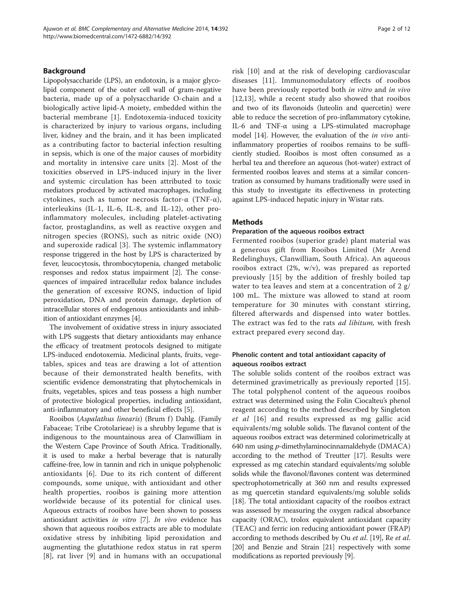# Background

Lipopolysaccharide (LPS), an endotoxin, is a major glycolipid component of the outer cell wall of gram-negative bacteria, made up of a polysaccharide O-chain and a biologically active lipid-A moiety, embedded within the bacterial membrane [[1\]](#page-10-0). Endotoxemia-induced toxicity is characterized by injury to various organs, including liver, kidney and the brain, and it has been implicated as a contributing factor to bacterial infection resulting in sepsis, which is one of the major causes of morbidity and mortality in intensive care units [[2\]](#page-10-0). Most of the toxicities observed in LPS-induced injury in the liver and systemic circulation has been attributed to toxic mediators produced by activated macrophages, including cytokines, such as tumor necrosis factor-α (TNF-α), interleukins (IL-1, IL-6, IL-8, and IL-12), other proinflammatory molecules, including platelet-activating factor, prostaglandins, as well as reactive oxygen and nitrogen species (RONS), such as nitric oxide (NO) and superoxide radical [[3](#page-10-0)]. The systemic inflammatory response triggered in the host by LPS is characterized by fever, leucocytosis, thrombocytopenia, changed metabolic responses and redox status impairment [\[2](#page-10-0)]. The consequences of impaired intracellular redox balance includes the generation of excessive RONS, induction of lipid peroxidation, DNA and protein damage, depletion of intracellular stores of endogenous antioxidants and inhibition of antioxidant enzymes [\[4\]](#page-10-0).

The involvement of oxidative stress in injury associated with LPS suggests that dietary antioxidants may enhance the efficacy of treatment protocols designed to mitigate LPS-induced endotoxemia. Medicinal plants, fruits, vegetables, spices and teas are drawing a lot of attention because of their demonstrated health benefits, with scientific evidence demonstrating that phytochemicals in fruits, vegetables, spices and teas possess a high number of protective biological properties, including antioxidant, anti-inflammatory and other beneficial effects [[5\]](#page-10-0).

Rooibos (Aspalathus linearis) (Brum f) Dahlg. (Family Fabaceae; Tribe Crotolarieae) is a shrubby legume that is indigenous to the mountainous area of Clanwilliam in the Western Cape Province of South Africa. Traditionally, it is used to make a herbal beverage that is naturally caffeine-free, low in tannin and rich in unique polyphenolic antioxidants [\[6](#page-10-0)]. Due to its rich content of different compounds, some unique, with antioxidant and other health properties, rooibos is gaining more attention worldwide because of its potential for clinical uses. Aqueous extracts of rooibos have been shown to possess antioxidant activities in vitro [\[7\]](#page-10-0). In vivo evidence has shown that aqueous rooibos extracts are able to modulate oxidative stress by inhibiting lipid peroxidation and augmenting the glutathione redox status in rat sperm [[8\]](#page-10-0), rat liver [[9](#page-10-0)] and in humans with an occupational risk [[10\]](#page-10-0) and at the risk of developing cardiovascular diseases [[11\]](#page-10-0). Immunomodulatory effects of rooibos have been previously reported both in vitro and in vivo [[12,13](#page-10-0)], while a recent study also showed that rooibos and two of its flavonoids (luteolin and quercetin) were able to reduce the secretion of pro-inflammatory cytokine, IL-6 and TNF-α using a LPS-stimulated macrophage model [\[14\]](#page-10-0). However, the evaluation of the in vivo antiinflammatory properties of rooibos remains to be sufficiently studied. Rooibos is most often consumed as a herbal tea and therefore an aqueous (hot-water) extract of fermented rooibos leaves and stems at a similar concentration as consumed by humans traditionally were used in this study to investigate its effectiveness in protecting against LPS-induced hepatic injury in Wistar rats.

#### **Methods**

#### Preparation of the aqueous rooibos extract

Fermented rooibos (superior grade) plant material was a generous gift from Rooibos Limited (Mr Arend Redelinghuys, Clanwilliam, South Africa). An aqueous rooibos extract (2%, w/v), was prepared as reported previously [\[15\]](#page-10-0) by the addition of freshly boiled tap water to tea leaves and stem at a concentration of  $2 \frac{g}{g}$ 100 mL. The mixture was allowed to stand at room temperature for 30 minutes with constant stirring, filtered afterwards and dispensed into water bottles. The extract was fed to the rats *ad libitum*, with fresh extract prepared every second day.

# Phenolic content and total antioxidant capacity of aqueous rooibos extract

The soluble solids content of the rooibos extract was determined gravimetrically as previously reported [\[15](#page-10-0)]. The total polyphenol content of the aqueous rooibos extract was determined using the Folin Ciocalteu's phenol reagent according to the method described by Singleton et al [\[16](#page-10-0)] and results expressed as mg gallic acid equivalents/mg soluble solids. The flavanol content of the aqueous rooibos extract was determined colorimetrically at 640 nm using p-dimethylaminocinnamaldehyde (DMACA) according to the method of Treutter [\[17\]](#page-10-0). Results were expressed as mg catechin standard equivalents/mg soluble solids while the flavonol/flavones content was determined spectrophotometrically at 360 nm and results expressed as mg quercetin standard equivalents/mg soluble solids [[18](#page-10-0)]. The total antioxidant capacity of the rooibos extract was assessed by measuring the oxygen radical absorbance capacity (ORAC), trolox equivalent antioxidant capacity (TEAC) and ferric ion reducing antioxidant power (FRAP) according to methods described by Ou *et al.* [\[19\]](#page-10-0), Re *et al.* [[20](#page-10-0)] and Benzie and Strain [[21](#page-10-0)] respectively with some modifications as reported previously [[9](#page-10-0)].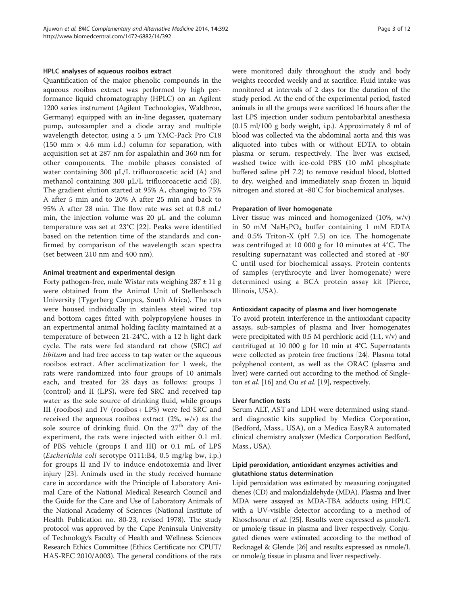#### HPLC analyses of aqueous rooibos extract

Quantification of the major phenolic compounds in the aqueous rooibos extract was performed by high performance liquid chromatography (HPLC) on an Agilent 1200 series instrument (Agilent Technologies, Waldbron, Germany) equipped with an in-line degasser, quaternary pump, autosampler and a diode array and multiple wavelength detector, using a 5 μm YMC-Pack Pro C18 (150 mm  $\times$  4.6 mm i.d.) column for separation, with acquisition set at 287 nm for aspalathin and 360 nm for other components. The mobile phases consisted of water containing 300 μL/L trifluoroacetic acid (A) and methanol containing 300 μL/L trifluoroacetic acid (B). The gradient elution started at 95% A, changing to 75% A after 5 min and to 20% A after 25 min and back to 95% A after 28 min. The flow rate was set at 0.8 mL/ min, the injection volume was 20 μL and the column temperature was set at 23°C [\[22](#page-10-0)]. Peaks were identified based on the retention time of the standards and confirmed by comparison of the wavelength scan spectra (set between 210 nm and 400 nm).

## Animal treatment and experimental design

Forty pathogen-free, male Wistar rats weighing  $287 \pm 11$  g were obtained from the Animal Unit of Stellenbosch University (Tygerberg Campus, South Africa). The rats were housed individually in stainless steel wired top and bottom cages fitted with polypropylene houses in an experimental animal holding facility maintained at a temperature of between 21-24°C, with a 12 h light dark cycle. The rats were fed standard rat chow (SRC) ad libitum and had free access to tap water or the aqueous rooibos extract. After acclimatization for 1 week, the rats were randomized into four groups of 10 animals each, and treated for 28 days as follows: groups I (control) and II (LPS), were fed SRC and received tap water as the sole source of drinking fluid, while groups III (rooibos) and IV (rooibos + LPS) were fed SRC and received the aqueous rooibos extract (2%, w/v) as the sole source of drinking fluid. On the 27<sup>th</sup> day of the experiment, the rats were injected with either 0.1 mL of PBS vehicle (groups I and III) or 0.1 mL of LPS (Escherichia coli serotype 0111:B4, 0.5 mg/kg bw, i.p.) for groups II and IV to induce endotoxemia and liver injury [\[23\]](#page-10-0). Animals used in the study received humane care in accordance with the Principle of Laboratory Animal Care of the National Medical Research Council and the Guide for the Care and Use of Laboratory Animals of the National Academy of Sciences (National Institute of Health Publication no. 80-23, revised 1978). The study protocol was approved by the Cape Peninsula University of Technology's Faculty of Health and Wellness Sciences Research Ethics Committee (Ethics Certificate no: CPUT/ HAS-REC 2010/A003). The general conditions of the rats were monitored daily throughout the study and body weights recorded weekly and at sacrifice. Fluid intake was monitored at intervals of 2 days for the duration of the study period. At the end of the experimental period, fasted animals in all the groups were sacrificed 16 hours after the last LPS injection under sodium pentobarbital anesthesia (0.15 ml/100 g body weight, i.p.). Approximately 8 ml of blood was collected via the abdominal aorta and this was aliquoted into tubes with or without EDTA to obtain plasma or serum, respectively. The liver was excised, washed twice with ice-cold PBS (10 mM phosphate buffered saline pH 7.2) to remove residual blood, blotted to dry, weighed and immediately snap frozen in liquid nitrogen and stored at -80°C for biochemical analyses.

## Preparation of liver homogenate

Liver tissue was minced and homogenized (10%, w/v) in 50 mM NaH<sub>2</sub>PO<sub>4</sub> buffer containing 1 mM EDTA and 0.5% Triton-X (pH 7.5) on ice. The homogenate was centrifuged at 10 000 g for 10 minutes at 4°C. The resulting supernatant was collected and stored at -80° C until used for biochemical assays. Protein contents of samples (erythrocyte and liver homogenate) were determined using a BCA protein assay kit (Pierce, Illinois, USA).

### Antioxidant capacity of plasma and liver homogenate

To avoid protein interference in the antioxidant capacity assays, sub-samples of plasma and liver homogenates were precipitated with  $0.5$  M perchloric acid  $(1:1, v/v)$  and centrifuged at 10 000 g for 10 min at 4°C. Supernatants were collected as protein free fractions [\[24\]](#page-10-0). Plasma total polyphenol content, as well as the ORAC (plasma and liver) were carried out according to the method of Singleton *et al.* [\[16\]](#page-10-0) and Ou *et al.* [[19](#page-10-0)], respectively.

#### Liver function tests

Serum ALT, AST and LDH were determined using standard diagnostic kits supplied by Medica Corporation, (Bedford, Mass., USA), on a Medica EasyRA automated clinical chemistry analyzer (Medica Corporation Bedford, Mass., USA).

# Lipid peroxidation, antioxidant enzymes activities and glutathione status determination

Lipid peroxidation was estimated by measuring conjugated dienes (CD) and malondialdehyde (MDA). Plasma and liver MDA were assayed as MDA-TBA adducts using HPLC with a UV-visible detector according to a method of Khoschsorur et al. [\[25\]](#page-11-0). Results were expressed as μmole/L or μmole/g tissue in plasma and liver respectively. Conjugated dienes were estimated according to the method of Recknagel & Glende [[26\]](#page-11-0) and results expressed as nmole/L or nmole/g tissue in plasma and liver respectively.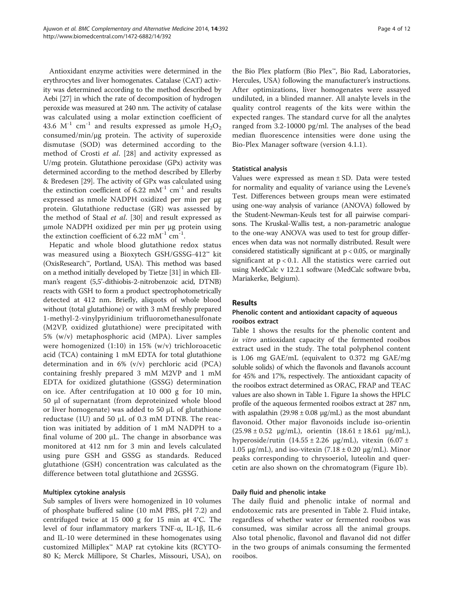Antioxidant enzyme activities were determined in the erythrocytes and liver homogenates. Catalase (CAT) activity was determined according to the method described by Aebi [\[27](#page-11-0)] in which the rate of decomposition of hydrogen peroxide was measured at 240 nm. The activity of catalase was calculated using a molar extinction coefficient of 43.6  $M^{-1}$  cm<sup>-1</sup> and results expressed as µmole  $H_2O_2$ consumed/min/μg protein. The activity of superoxide dismutase (SOD) was determined according to the method of Crosti et al. [[28\]](#page-11-0) and activity expressed as U/mg protein. Glutathione peroxidase (GPx) activity was determined according to the method described by Ellerby & Bredesen [\[29\]](#page-11-0). The activity of GPx was calculated using the extinction coefficient of 6.22 mM<sup>-1</sup> cm<sup>-1</sup> and results expressed as nmole NADPH oxidized per min per μg protein. Glutathione reductase (GR) was assessed by the method of Staal et al. [\[30](#page-11-0)] and result expressed as μmole NADPH oxidized per min per μg protein using the extinction coefficient of 6.22 mM<sup>-1</sup> cm<sup>-1</sup>.

Hepatic and whole blood glutathione redox status was measured using a Bioxytech GSH/GSSG-412™ kit (OxisResearch™, Portland, USA). This method was based on a method initially developed by Tietze [\[31\]](#page-11-0) in which Ellman's reagent (5,5'-dithiobis-2-nitrobenzoic acid, DTNB) reacts with GSH to form a product spectrophotometrically detected at 412 nm. Briefly, aliquots of whole blood without (total glutathione) or with 3 mM freshly prepared 1-methyl-2-vinylpyridinium trifluoromethanesulfonate (M2VP, oxidized glutathione) were precipitated with 5% (w/v) metaphosphoric acid (MPA). Liver samples were homogenized (1:10) in 15% (w/v) trichloroacetic acid (TCA) containing 1 mM EDTA for total glutathione determination and in 6% (v/v) perchloric acid (PCA) containing freshly prepared 3 mM M2VP and 1 mM EDTA for oxidized glutathione (GSSG) determination on ice. After centrifugation at 10 000 g for 10 min, 50 μl of supernatant (from deproteinized whole blood or liver homogenate) was added to 50 μL of glutathione reductase (1U) and 50 μL of 0.3 mM DTNB. The reaction was initiated by addition of 1 mM NADPH to a final volume of 200  $\mu$ L. The change in absorbance was monitored at 412 nm for 3 min and levels calculated using pure GSH and GSSG as standards. Reduced glutathione (GSH) concentration was calculated as the difference between total glutathione and 2GSSG.

#### Multiplex cytokine analysis

Sub samples of livers were homogenized in 10 volumes of phosphate buffered saline (10 mM PBS, pH 7.2) and centrifuged twice at 15 000 g for 15 min at 4°C. The level of four inflammatory markers TNF-α, IL-1β, IL-6 and IL-10 were determined in these homogenates using customized Milliplex™ MAP rat cytokine kits (RCYTO-80 K; Merck Millipore, St Charles, Missouri, USA), on

the Bio Plex platform (Bio Plex™, Bio Rad, Laboratories, Hercules, USA) following the manufacturer's instructions. After optimizations, liver homogenates were assayed undiluted, in a blinded manner. All analyte levels in the quality control reagents of the kits were within the expected ranges. The standard curve for all the analytes ranged from 3.2-10000 pg/ml. The analyses of the bead median fluorescence intensities were done using the Bio-Plex Manager software (version 4.1.1).

## Statistical analysis

Values were expressed as mean ± SD. Data were tested for normality and equality of variance using the Levene's Test. Differences between groups mean were estimated using one-way analysis of variance (ANOVA) followed by the Student-Newman-Keuls test for all pairwise comparisons. The Kruskal-Wallis test, a non-parametric analogue to the one-way ANOVA was used to test for group differences when data was not normally distributed. Result were considered statistically significant at  $p < 0.05$ , or marginally significant at  $p < 0.1$ . All the statistics were carried out using MedCalc v 12.2.1 software (MedCalc software bvba, Mariakerke, Belgium).

# Results

# Phenolic content and antioxidant capacity of aqueous rooibos extract

Table [1](#page-4-0) shows the results for the phenolic content and in vitro antioxidant capacity of the fermented rooibos extract used in the study. The total polyphenol content is 1.06 mg GAE/mL (equivalent to 0.372 mg GAE/mg soluble solids) of which the flavonols and flavanols account for 45% and 17%, respectively. The antioxidant capacity of the rooibos extract determined as ORAC, FRAP and TEAC values are also shown in Table [1.](#page-4-0) Figure [1a](#page-5-0) shows the HPLC profile of the aqueous fermented rooibos extract at 287 nm, with aspalathin  $(29.98 \pm 0.08 \text{ µg/mL})$  as the most abundant flavonoid. Other major flavonoids include iso-orientin  $(25.98 \pm 0.52 \text{ µg/mL})$ , orientin  $(18.61 \pm 18.61 \text{ µg/mL})$ , hyperoside/rutin  $(14.55 \pm 2.26 \text{ µg/mL})$ , vitexin  $(6.07 \pm 1.55 \pm 2.26 \text{ µg/mL})$ 1.05 μg/mL), and iso-vitexin  $(7.18 \pm 0.20 \text{ µg/mL})$ . Minor peaks corresponding to chrysoeriol, luteolin and quercetin are also shown on the chromatogram (Figure [1](#page-5-0)b).

#### Daily fluid and phenolic intake

The daily fluid and phenolic intake of normal and endotoxemic rats are presented in Table [2](#page-6-0). Fluid intake, regardless of whether water or fermented rooibos was consumed, was similar across all the animal groups. Also total phenolic, flavonol and flavanol did not differ in the two groups of animals consuming the fermented rooibos.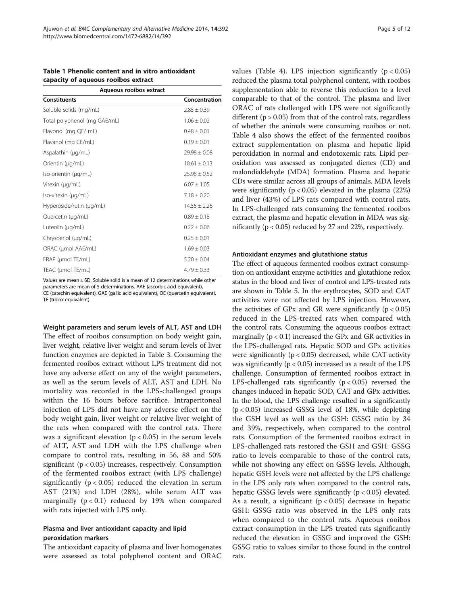<span id="page-4-0"></span>

| Table 1 Phenolic content and in vitro antioxidant |  |
|---------------------------------------------------|--|
| capacity of aqueous rooibos extract               |  |

| Aqueous rooibos extract      |                  |  |  |
|------------------------------|------------------|--|--|
| <b>Constituents</b>          | Concentration    |  |  |
| Soluble solids (mg/mL)       | $2.85 \pm 0.39$  |  |  |
| Total polyphenol (mg GAE/mL) | $1.06 \pm 0.02$  |  |  |
| Flavonol (mg QE/ mL)         | $0.48 \pm 0.01$  |  |  |
| Flavanol (mg CE/mL)          | $0.19 \pm 0.01$  |  |  |
| Aspalathin (µg/mL)           | $29.98 \pm 0.08$ |  |  |
| Orientin (µg/mL)             | $18.61 \pm 0.13$ |  |  |
| Iso-orientin (µg/mL)         | $25.98 \pm 0.52$ |  |  |
| Vitexin (µg/mL)              | $6.07 \pm 1.05$  |  |  |
| Iso-vitexin (µg/mL)          | $7.18 + 0.20$    |  |  |
| Hyperoside/rutin (µg/mL)     | $14.55 \pm 2.26$ |  |  |
| Quercetin (µg/mL)            | $0.89 \pm 0.18$  |  |  |
| Luteolin (µg/mL)             | $0.22 \pm 0.06$  |  |  |
| Chrysoeriol (µg/mL)          | $0.25 \pm 0.01$  |  |  |
| ORAC (µmol AAE/mL)           | $1.69 \pm 0.03$  |  |  |
| FRAP (µmol TE/mL)            | $5.20 \pm 0.04$  |  |  |
| TEAC (µmol TE/mL)            | $4.79 \pm 0.33$  |  |  |

Values are mean ± SD. Soluble solid is a mean of 12 determinations while other parameters are mean of 5 determinations. AAE (ascorbic acid equivalent), CE (catechin equivalent), GAE (gallic acid equivalent), QE (quercetin equivalent), TE (trolox equivalent).

Weight parameters and serum levels of ALT, AST and LDH The effect of rooibos consumption on body weight gain, liver weight, relative liver weight and serum levels of liver function enzymes are depicted in Table [3](#page-6-0). Consuming the fermented rooibos extract without LPS treatment did not have any adverse effect on any of the weight parameters, as well as the serum levels of ALT, AST and LDH. No mortality was recorded in the LPS-challenged groups within the 16 hours before sacrifice. Intraperitoneal injection of LPS did not have any adverse effect on the body weight gain, liver weight or relative liver weight of the rats when compared with the control rats. There was a significant elevation ( $p < 0.05$ ) in the serum levels of ALT, AST and LDH with the LPS challenge when compare to control rats, resulting in 56, 88 and 50% significant ( $p < 0.05$ ) increases, respectively. Consumption of the fermented rooibos extract (with LPS challenge) significantly ( $p < 0.05$ ) reduced the elevation in serum AST (21%) and LDH (28%), while serum ALT was marginally  $(p < 0.1)$  reduced by 19% when compared with rats injected with LPS only.

# Plasma and liver antioxidant capacity and lipid peroxidation markers

The antioxidant capacity of plasma and liver homogenates were assessed as total polyphenol content and ORAC values (Table [4](#page-7-0)). LPS injection significantly  $(p < 0.05)$ reduced the plasma total polyphenol content, with rooibos supplementation able to reverse this reduction to a level comparable to that of the control. The plasma and liver ORAC of rats challenged with LPS were not significantly different ( $p > 0.05$ ) from that of the control rats, regardless of whether the animals were consuming rooibos or not. Table [4](#page-7-0) also shows the effect of the fermented rooibos extract supplementation on plasma and hepatic lipid peroxidation in normal and endotoxemic rats. Lipid peroxidation was assessed as conjugated dienes (CD) and malondialdehyde (MDA) formation. Plasma and hepatic CDs were similar across all groups of animals. MDA levels were significantly ( $p < 0.05$ ) elevated in the plasma (22%) and liver (43%) of LPS rats compared with control rats. In LPS-challenged rats consuming the fermented rooibos extract, the plasma and hepatic elevation in MDA was significantly (p < 0.05) reduced by 27 and 22%, respectively.

#### Antioxidant enzymes and glutathione status

The effect of aqueous fermented rooibos extract consumption on antioxidant enzyme activities and glutathione redox status in the blood and liver of control and LPS-treated rats are shown in Table [5.](#page-7-0) In the erythrocytes, SOD and CAT activities were not affected by LPS injection. However, the activities of GPx and GR were significantly  $(p < 0.05)$ reduced in the LPS-treated rats when compared with the control rats. Consuming the aqueous rooibos extract marginally  $(p < 0.1)$  increased the GPx and GR activities in the LPS-challenged rats. Hepatic SOD and GPx activities were significantly  $(p < 0.05)$  decreased, while CAT activity was significantly ( $p < 0.05$ ) increased as a result of the LPS challenge. Consumption of fermented rooibos extract in LPS-challenged rats significantly  $(p < 0.05)$  reversed the changes induced in hepatic SOD, CAT and GPx activities. In the blood, the LPS challenge resulted in a significantly (p < 0.05) increased GSSG level of 18%, while depleting the GSH level as well as the GSH: GSSG ratio by 34 and 39%, respectively, when compared to the control rats. Consumption of the fermented rooibos extract in LPS-challenged rats restored the GSH and GSH: GSSG ratio to levels comparable to those of the control rats, while not showing any effect on GSSG levels. Although, hepatic GSH levels were not affected by the LPS challenge in the LPS only rats when compared to the control rats, hepatic GSSG levels were significantly (p < 0.05) elevated. As a result, a significant ( $p < 0.05$ ) decrease in hepatic GSH: GSSG ratio was observed in the LPS only rats when compared to the control rats. Aqueous rooibos extract consumption in the LPS treated rats significantly reduced the elevation in GSSG and improved the GSH: GSSG ratio to values similar to those found in the control rats.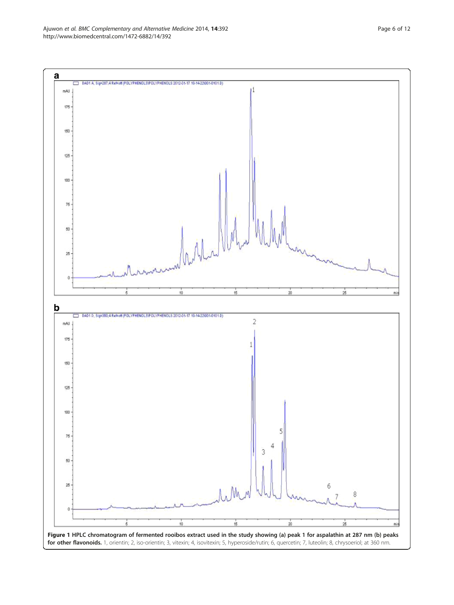<span id="page-5-0"></span>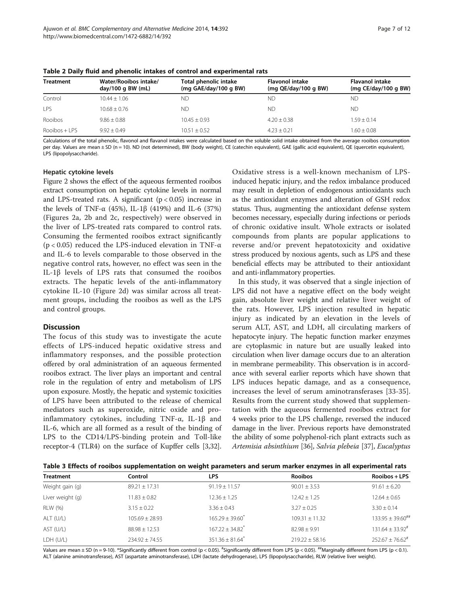| <b>Treatment</b> | Water/Rooibos intake/<br>day/100 g BW $(mL)$ | Total phenolic intake<br>(mg GAE/day/100 g BW) | <b>Flavonol intake</b><br>(mg QE/day/100 g BW) | <b>Flavanol intake</b><br>(mg $CE/day/100$ g BW) |
|------------------|----------------------------------------------|------------------------------------------------|------------------------------------------------|--------------------------------------------------|
| Control          | $10.44 + 1.06$                               | ND.                                            | ΝD                                             | ΝD                                               |
| I PS             | $10.68 + 0.76$                               | ND                                             | ND                                             | ND.                                              |
| Rooibos          | $9.86 + 0.88$                                | $10.45 + 0.93$                                 | $4.20 \pm 0.38$                                | $1.59 + 0.14$                                    |
| $Rootbos + IPS$  | $9.92 + 0.49$                                | $10.51 + 0.52$                                 | $4.23 + 0.21$                                  | $1.60 + 0.08$                                    |

<span id="page-6-0"></span>Table 2 Daily fluid and phenolic intakes of control and experimental rats

Calculations of the total phenolic, flavonol and flavanol intakes were calculated based on the soluble solid intake obtained from the average rooibos consumption per day. Values are mean ± SD (n = 10). ND (not determined), BW (body weight), CE (catechin equivalent), GAE (gallic acid equivalent), QE (quercetin equivalent), LPS (lipopolysaccharide).

#### Hepatic cytokine levels

Figure [2](#page-8-0) shows the effect of the aqueous fermented rooibos extract consumption on hepatic cytokine levels in normal and LPS-treated rats. A significant  $(p < 0.05)$  increase in the levels of TNF-α (45%), IL-1β (419%) and IL-6 (37%) (Figures [2](#page-8-0)a, [2b](#page-8-0) and [2c](#page-8-0), respectively) were observed in the liver of LPS-treated rats compared to control rats. Consuming the fermented rooibos extract significantly ( $p$  < 0.05) reduced the LPS-induced elevation in TNF- $\alpha$ and IL-6 to levels comparable to those observed in the negative control rats, however, no effect was seen in the IL-1β levels of LPS rats that consumed the rooibos extracts. The hepatic levels of the anti-inflammatory cytokine IL-10 (Figure [2d](#page-8-0)) was similar across all treatment groups, including the rooibos as well as the LPS and control groups.

#### **Discussion**

The focus of this study was to investigate the acute effects of LPS-induced hepatic oxidative stress and inflammatory responses, and the possible protection offered by oral administration of an aqueous fermented rooibos extract. The liver plays an important and central role in the regulation of entry and metabolism of LPS upon exposure. Mostly, the hepatic and systemic toxicities of LPS have been attributed to the release of chemical mediators such as superoxide, nitric oxide and proinflammatory cytokines, including TNF-α, IL-1β and IL-6, which are all formed as a result of the binding of LPS to the CD14/LPS-binding protein and Toll-like receptor-4 (TLR4) on the surface of Kupffer cells [[3,](#page-10-0)[32](#page-11-0)].

Oxidative stress is a well-known mechanism of LPSinduced hepatic injury, and the redox imbalance produced may result in depletion of endogenous antioxidants such as the antioxidant enzymes and alteration of GSH redox status. Thus, augmenting the antioxidant defense system becomes necessary, especially during infections or periods of chronic oxidative insult. Whole extracts or isolated compounds from plants are popular applications to reverse and/or prevent hepatotoxicity and oxidative stress produced by noxious agents, such as LPS and these beneficial effects may be attributed to their antioxidant and anti-inflammatory properties.

In this study, it was observed that a single injection of LPS did not have a negative effect on the body weight gain, absolute liver weight and relative liver weight of the rats. However, LPS injection resulted in hepatic injury as indicated by an elevation in the levels of serum ALT, AST, and LDH, all circulating markers of hepatocyte injury. The hepatic function marker enzymes are cytoplasmic in nature but are usually leaked into circulation when liver damage occurs due to an alteration in membrane permeability. This observation is in accordance with several earlier reports which have shown that LPS induces hepatic damage, and as a consequence, increases the level of serum aminotransferases [\[33-35](#page-11-0)]. Results from the current study showed that supplementation with the aqueous fermented rooibos extract for 4 weeks prior to the LPS challenge, reversed the induced damage in the liver. Previous reports have demonstrated the ability of some polyphenol-rich plant extracts such as Artemisia absinthium [[36](#page-11-0)], Salvia plebeia [\[37\]](#page-11-0), Eucalyptus

Table 3 Effects of rooibos supplementation on weight parameters and serum marker enzymes in all experimental rats

| <b>Treatment</b> | Control            | <b>LPS</b>                      | <b>Rooibos</b>     | Rooibos + LPS                  |
|------------------|--------------------|---------------------------------|--------------------|--------------------------------|
| Weight gain (g)  | $89.21 \pm 17.31$  | $91.19 \pm 11.57$               | $90.01 \pm 3.53$   | $91.61 \pm 6.20$               |
| Liver weight (g) | $11.83 \pm 0.82$   | $12.36 \pm 1.25$                | $12.42 \pm 1.25$   | $12.64 \pm 0.65$               |
| RLW (%)          | $3.15 \pm 0.22$    | $3.36 \pm 0.43$                 | $3.27 \pm 0.25$    | $3.30 \pm 0.14$                |
| ALT (U/L)        | $105.69 + 28.93$   | $165.29 + 39.60$                | $109.31 + 11.32$   | $133.95 + 39.60^{+4}$          |
| AST (U/L)        | $88.98 \pm 12.53$  | $167.22 \pm 34.82$ <sup>*</sup> | $82.98 \pm 9.91$   | $131.64 \pm 33.92^{\text{\#}}$ |
| LDH (U/L)        | $234.92 \pm 74.55$ | $351.36 \pm 81.64$ <sup>*</sup> | $219.22 \pm 58.16$ | $252.67 \pm 76.62^{\text{*}}$  |

Values are mean  $\pm$  SD (n = 9-10). \*Significantly different from control (p < 0.05).  $^{\sharp}$ Significantly different from LPS (p = 0.1). \*Significantly different from LPS (p < 0.1). ALT (alanine aminotransferase), AST (aspartate aminotransferase), LDH (lactate dehydrogenase), LPS (lipopolysaccharide), RLW (relative liver weight).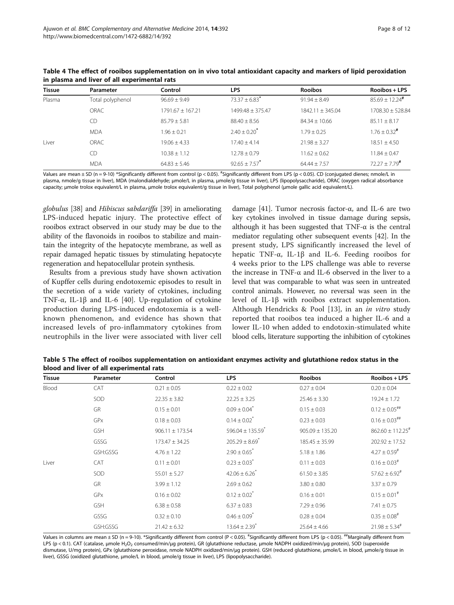| <b>Tissue</b> | Parameter        | Control              | <b>LPS</b>                  | <b>Rooibos</b>       | Rooibos + LPS               |
|---------------|------------------|----------------------|-----------------------------|----------------------|-----------------------------|
| Plasma        | Total polyphenol | $96.69 + 9.49$       | $73.37 + 6.83$ <sup>*</sup> | $91.94 + 8.49$       | $85.69 + 12.24$ #           |
|               | ORAC             | $1791.67 \pm 167.21$ | 1499.48 ± 375.47            | $1842.11 \pm 345.04$ | 1708.30 ± 528.84            |
|               | CD.              | $85.79 \pm 5.81$     | $88.40 \pm 8.56$            | $84.34 \pm 10.66$    | $85.11 \pm 8.17$            |
|               | <b>MDA</b>       | $1.96 + 0.21$        | $2.40 + 0.20$               | $1.79 + 0.25$        | $1.76 + 0.32$ <sup>#</sup>  |
| Liver         | ORAC             | $19.06 + 4.33$       | $17.40 \pm 4.14$            | $21.98 \pm 3.27$     | $18.51 + 4.50$              |
|               | CD               | $10.38 + 1.12$       | $12.78 + 0.79$              | $11.62 + 0.62$       | $11.84 \pm 0.47$            |
|               | <b>MDA</b>       | $64.83 + 5.46$       | $92.65 + 7.57$              | $64.44 + 7.57$       | $72.27 + 7.79$ <sup>#</sup> |

<span id="page-7-0"></span>Table 4 The effect of rooibos supplementation on in vivo total antioxidant capacity and markers of lipid peroxidation in plasma and liver of all experimental rats

Values are mean ± SD (n = 9-10) \*Significantly different from control (p < 0.05). <sup>#</sup>Significantly different from LPS (p < 0.05). CD (conjugated dienes; nmole/L in plasma, nmole/g tissue in liver), MDA (malondialdehyde; μmole/L in plasma, μmole/g tissue in liver), LPS (lipopolysaccharide), ORAC (oxygen radical absorbance capacity; μmole trolox equivalent/L in plasma, μmole trolox equivalent/g tissue in liver), Total polyphenol (μmole gallic acid equivalent/L).

globulus [[38\]](#page-11-0) and Hibiscus sabdariffa [\[39\]](#page-11-0) in ameliorating LPS-induced hepatic injury. The protective effect of rooibos extract observed in our study may be due to the ability of the flavonoids in rooibos to stabilize and maintain the integrity of the hepatocyte membrane, as well as repair damaged hepatic tissues by stimulating hepatocyte regeneration and hepatocellular protein synthesis.

Results from a previous study have shown activation of Kupffer cells during endotoxemic episodes to result in the secretion of a wide variety of cytokines, including TNF-α, IL-1β and IL-6 [[40](#page-11-0)]. Up-regulation of cytokine production during LPS-induced endotoxemia is a wellknown phenomenon, and evidence has shown that increased levels of pro-inflammatory cytokines from neutrophils in the liver were associated with liver cell

damage [[41](#page-11-0)]. Tumor necrosis factor-α, and IL-6 are two key cytokines involved in tissue damage during sepsis, although it has been suggested that  $TNF-\alpha$  is the central mediator regulating other subsequent events [[42](#page-11-0)]. In the present study, LPS significantly increased the level of hepatic TNF-α, IL-1β and IL-6. Feeding rooibos for 4 weeks prior to the LPS challenge was able to reverse the increase in TNF- $\alpha$  and IL-6 observed in the liver to a level that was comparable to what was seen in untreated control animals. However, no reversal was seen in the level of IL-1β with rooibos extract supplementation. Although Hendricks & Pool [\[13](#page-10-0)], in an in vitro study reported that rooibos tea induced a higher IL-6 and a lower IL-10 when added to endotoxin-stimulated white blood cells, literature supporting the inhibition of cytokines

Table 5 The effect of rooibos supplementation on antioxidant enzymes activity and glutathione redox status in the blood and liver of all experimental rats

| <b>Tissue</b> | Parameter  | Control             | <b>LPS</b>                       | <b>Rooibos</b>      | Rooibos + LPS                    |
|---------------|------------|---------------------|----------------------------------|---------------------|----------------------------------|
| Blood         | CAT        | $0.21 \pm 0.05$     | $0.22 \pm 0.02$                  | $0.27 \pm 0.04$     | $0.20 \pm 0.04$                  |
|               | SOD        | $22.35 \pm 3.82$    | $22.25 \pm 3.25$                 | $25.46 \pm 3.30$    | $19.24 \pm 1.72$                 |
|               | GR         | $0.15 \pm 0.01$     | $0.09 \pm 0.04$ <sup>*</sup>     | $0.15 \pm 0.03$     | $0.12 \pm 0.05$ ##               |
|               | GPx        | $0.18 \pm 0.03$     | $0.14 \pm 0.02$ <sup>*</sup>     | $0.23 \pm 0.03$     | $0.16 \pm 0.03$ ##               |
|               | <b>GSH</b> | $906.11 \pm 173.54$ | $596.04 \pm 135.59$ <sup>*</sup> | $905.09 \pm 135.20$ | $862.60 \pm 112.25$ <sup>#</sup> |
|               | GSSG       | $173.47 \pm 34.25$  | $205.29 \pm 8.69$ <sup>*</sup>   | $185.45 \pm 35.99$  | $202.92 \pm 17.52$               |
|               | GSH:GSSG   | $4.76 \pm 1.22$     | $2.90 \pm 0.65$ <sup>*</sup>     | $5.18 \pm 1.86$     | $4.27 \pm 0.59^{\text{*}}$       |
| Liver         | CAT        | $0.11 \pm 0.01$     | $0.23 \pm 0.03$ <sup>*</sup>     | $0.11 \pm 0.03$     | $0.16 \pm 0.03$ <sup>#</sup>     |
|               | SOD        | $55.01 \pm 5.27$    | $42.06 \pm 6.26$                 | $61.50 \pm 3.85$    | $57.62 \pm 6.92$ <sup>#</sup>    |
|               | GR         | $3.99 \pm 1.12$     | $2.69 \pm 0.62$                  | $3.80 \pm 0.80$     | $3.37 \pm 0.79$                  |
|               | GPx        | $0.16 \pm 0.02$     | $0.12 \pm 0.02$ <sup>*</sup>     | $0.16 \pm 0.01$     | $0.15 \pm 0.01$ <sup>#</sup>     |
|               | <b>GSH</b> | $6.38 \pm 0.58$     | $6.37 \pm 0.83$                  | $7.29 \pm 0.96$     | $7.41 \pm 0.75$                  |
|               | GSSG       | $0.32 \pm 0.10$     | $0.46 \pm 0.09$ <sup>*</sup>     | $0.28 \pm 0.04$     | $0.35 \pm 0.08$ <sup>#</sup>     |
|               | GSH:GSSG   | $21.42 \pm 6.32$    | $13.64 \pm 2.39$ <sup>*</sup>    | $25.64 \pm 4.66$    | $21.98 \pm 5.34$ <sup>#</sup>    |

Values in columns are mean  $\pm$  SD (n = 9-10). \*Significantly different from control (P < 0.05).  $^{\#}$ Significantly different from  ${\sf LPS}$  (p < 0.05).  $^{\#}$ Marginally different from LPS (p < 0.1). CAT (catalase, μmole H<sub>2</sub>O<sub>2</sub> consumed/min/μg protein), GR (glutathione reductase, μmole NADPH oxidized/min/μg protein), SOD (superoxide dismutase, U/mg protein), GPx (glutathione peroxidase, nmole NADPH oxidized/min/μg protein). GSH (reduced glutathione, μmole/L in blood, μmole/g tissue in liver), GSSG (oxidized glutathione, μmole/L in blood, μmole/g tissue in liver), LPS (lipopolysaccharide).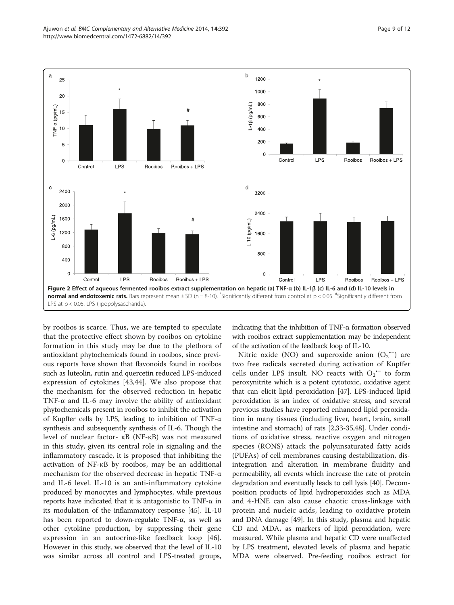<span id="page-8-0"></span>

by rooibos is scarce. Thus, we are tempted to speculate that the protective effect shown by rooibos on cytokine formation in this study may be due to the plethora of antioxidant phytochemicals found in rooibos, since previous reports have shown that flavonoids found in rooibos such as luteolin, rutin and quercetin reduced LPS-induced expression of cytokines [[43,44\]](#page-11-0). We also propose that the mechanism for the observed reduction in hepatic TNF- $\alpha$  and IL-6 may involve the ability of antioxidant phytochemicals present in rooibos to inhibit the activation of Kupffer cells by LPS, leading to inhibition of TNF-α synthesis and subsequently synthesis of IL-6. Though the level of nuclear factor- κB (NF-κB) was not measured in this study, given its central role in signaling and the inflammatory cascade, it is proposed that inhibiting the activation of NF-κB by rooibos, may be an additional mechanism for the observed decrease in hepatic TNF-α and IL-6 level. IL-10 is an anti-inflammatory cytokine produced by monocytes and lymphocytes, while previous reports have indicated that it is antagonistic to TNF-α in its modulation of the inflammatory response [[45](#page-11-0)]. IL-10 has been reported to down-regulate TNF-α, as well as other cytokine production, by suppressing their gene expression in an autocrine-like feedback loop [\[46](#page-11-0)]. However in this study, we observed that the level of IL-10 was similar across all control and LPS-treated groups,

indicating that the inhibition of TNF-α formation observed with rooibos extract supplementation may be independent of the activation of the feedback loop of IL-10.

Nitric oxide (NO) and superoxide anion  $(O_2^{\bullet -})$  are two free radicals secreted during activation of Kupffer cells under LPS insult. NO reacts with  $O_2$ <sup>++</sup> to form peroxynitrite which is a potent cytotoxic, oxidative agent that can elicit lipid peroxidation [\[47\]](#page-11-0). LPS-induced lipid peroxidation is an index of oxidative stress, and several previous studies have reported enhanced lipid peroxidation in many tissues (including liver, heart, brain, small intestine and stomach) of rats [[2,](#page-10-0)[33](#page-11-0)-[35,48](#page-11-0)]. Under conditions of oxidative stress, reactive oxygen and nitrogen species (RONS) attack the polyunsaturated fatty acids (PUFAs) of cell membranes causing destabilization, disintegration and alteration in membrane fluidity and permeability, all events which increase the rate of protein degradation and eventually leads to cell lysis [\[40](#page-11-0)]. Decomposition products of lipid hydroperoxides such as MDA and 4-HNE can also cause chaotic cross-linkage with protein and nucleic acids, leading to oxidative protein and DNA damage [\[49\]](#page-11-0). In this study, plasma and hepatic CD and MDA, as markers of lipid peroxidation, were measured. While plasma and hepatic CD were unaffected by LPS treatment, elevated levels of plasma and hepatic MDA were observed. Pre-feeding rooibos extract for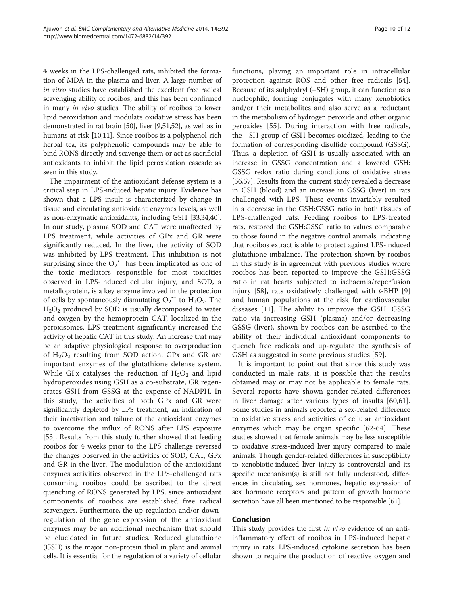4 weeks in the LPS-challenged rats, inhibited the formation of MDA in the plasma and liver. A large number of in vitro studies have established the excellent free radical scavenging ability of rooibos, and this has been confirmed in many in vivo studies. The ability of rooibos to lower lipid peroxidation and modulate oxidative stress has been demonstrated in rat brain [\[50\]](#page-11-0), liver [\[9,](#page-10-0)[51,52](#page-11-0)], as well as in humans at risk [\[10,11](#page-10-0)]. Since rooibos is a polyphenol-rich herbal tea, its polyphenolic compounds may be able to bind RONS directly and scavenge them or act as sacrificial antioxidants to inhibit the lipid peroxidation cascade as seen in this study.

The impairment of the antioxidant defense system is a critical step in LPS-induced hepatic injury. Evidence has shown that a LPS insult is characterized by change in tissue and circulating antioxidant enzymes levels, as well as non-enzymatic antioxidants, including GSH [\[33,34,40](#page-11-0)]. In our study, plasma SOD and CAT were unaffected by LPS treatment, while activities of GPx and GR were significantly reduced. In the liver, the activity of SOD was inhibited by LPS treatment. This inhibition is not surprising since the  $O_2$ <sup>\*-</sup> has been implicated as one of the toxic mediators responsible for most toxicities observed in LPS-induced cellular injury, and SOD, a metalloprotein, is a key enzyme involved in the protection of cells by spontaneously dismutating  $O_2$ <sup>\*-</sup> to  $H_2O_2$ . The  $H<sub>2</sub>O<sub>2</sub>$  produced by SOD is usually decomposed to water and oxygen by the hemoprotein CAT, localized in the peroxisomes. LPS treatment significantly increased the activity of hepatic CAT in this study. An increase that may be an adaptive physiological response to overproduction of  $H_2O_2$  resulting from SOD action. GPx and GR are important enzymes of the glutathione defense system. While GPx catalyses the reduction of  $H_2O_2$  and lipid hydroperoxides using GSH as a co-substrate, GR regenerates GSH from GSSG at the expense of NADPH. In this study, the activities of both GPx and GR were significantly depleted by LPS treatment, an indication of their inactivation and failure of the antioxidant enzymes to overcome the influx of RONS after LPS exposure [[53](#page-11-0)]. Results from this study further showed that feeding rooibos for 4 weeks prior to the LPS challenge reversed the changes observed in the activities of SOD, CAT, GPx and GR in the liver. The modulation of the antioxidant enzymes activities observed in the LPS-challenged rats consuming rooibos could be ascribed to the direct quenching of RONS generated by LPS, since antioxidant components of rooibos are established free radical scavengers. Furthermore, the up-regulation and/or downregulation of the gene expression of the antioxidant enzymes may be an additional mechanism that should be elucidated in future studies. Reduced glutathione (GSH) is the major non-protein thiol in plant and animal cells. It is essential for the regulation of a variety of cellular functions, playing an important role in intracellular protection against ROS and other free radicals [\[54](#page-11-0)]. Because of its sulphydryl (–SH) group, it can function as a nucleophile, forming conjugates with many xenobiotics and/or their metabolites and also serve as a reductant in the metabolism of hydrogen peroxide and other organic peroxides [\[55](#page-11-0)]. During interaction with free radicals, the –SH group of GSH becomes oxidized, leading to the formation of corresponding disulfide compound (GSSG). Thus, a depletion of GSH is usually associated with an increase in GSSG concentration and a lowered GSH: GSSG redox ratio during conditions of oxidative stress [[56](#page-11-0),[57](#page-11-0)]. Results from the current study revealed a decrease in GSH (blood) and an increase in GSSG (liver) in rats challenged with LPS. These events invariably resulted in a decrease in the GSH:GSSG ratio in both tissues of LPS-challenged rats. Feeding rooibos to LPS-treated rats, restored the GSH:GSSG ratio to values comparable to those found in the negative control animals, indicating that rooibos extract is able to protect against LPS-induced glutathione imbalance. The protection shown by rooibos in this study is in agreement with previous studies where rooibos has been reported to improve the GSH:GSSG ratio in rat hearts subjected to ischaemia/reperfusion injury [[58\]](#page-11-0), rats oxidatively challenged with  $t$ -BHP [\[9](#page-10-0)] and human populations at the risk for cardiovascular diseases [[11\]](#page-10-0). The ability to improve the GSH: GSSG ratio via increasing GSH (plasma) and/or decreasing GSSG (liver), shown by rooibos can be ascribed to the ability of their individual antioxidant components to quench free radicals and up-regulate the synthesis of GSH as suggested in some previous studies [[59\]](#page-11-0).

It is important to point out that since this study was conducted in male rats, it is possible that the results obtained may or may not be applicable to female rats. Several reports have shown gender-related differences in liver damage after various types of insults [[60,61](#page-11-0)]. Some studies in animals reported a sex-related difference to oxidative stress and activities of cellular antioxidant enzymes which may be organ specific [[62-64](#page-11-0)]. These studies showed that female animals may be less susceptible to oxidative stress-induced liver injury compared to male animals. Though gender-related differences in susceptibility to xenobiotic-induced liver injury is controversial and its specific mechanism(s) is still not fully understood, differences in circulating sex hormones, hepatic expression of sex hormone receptors and pattern of growth hormone secretion have all been mentioned to be responsible [[61\]](#page-11-0).

#### Conclusion

This study provides the first *in vivo* evidence of an antiinflammatory effect of rooibos in LPS-induced hepatic injury in rats. LPS-induced cytokine secretion has been shown to require the production of reactive oxygen and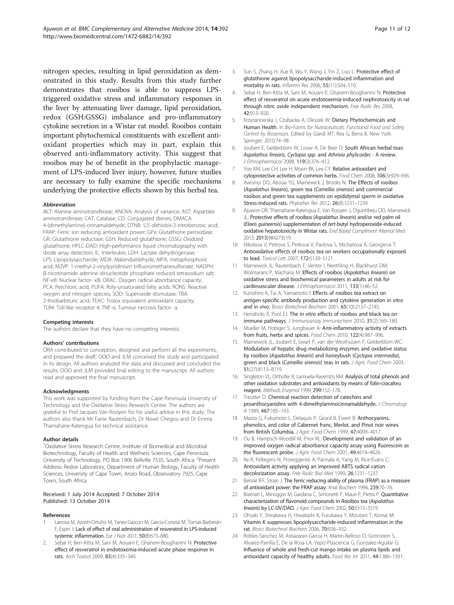<span id="page-10-0"></span>nitrogen species, resulting in lipid peroxidation as demonstrated in this study. Results from this study further demonstrates that rooibos is able to suppress LPStriggered oxidative stress and inflammatory responses in the liver by attenuating liver damage, lipid peroxidation, redox (GSH:GSSG) imbalance and pro-inflammatory cytokine secretion in a Wistar rat model. Rooibos contain important phytochemical constituents with excellent antioxidant properties which may in part, explain this observed anti-inflammatory activity. This suggest that rooibos may be of benefit in the prophylactic management of LPS-induced liver injury, however, future studies are necessary to fully examine the specific mechanisms underlying the protective effects shown by this herbal tea.

#### Abbreviation

ALT: Alanine aminotransferase; ANOVA: Analysis of variance; AST: Aspartate aminotransferase; CAT: Catalase; CD: Conjugated dienes; DMACA: 4-(dimethylamino)-cinnamaldehyde; DTNB: 5,5'-dithiobis-2-nitrobenzoic acid; FRAP: Ferric ion reducing antioxidant power; GPx: Glutathione peroxidase; GR: Glutathione reductase; GSH: Reduced glutathione; GSSG: Oxidized glutathione; HPLC-DAD: High-performance liquid chromatography with diode array detection; IL: Interleukin; LDH: Lactate dehydrogenase; LPS: Lipopolysaccharide; MDA: Malondialdehyde, MPA, metaphosphoric acid; M2VP: 1-methyl-2-vinylpyridinium trifluoromethanesulfonate; NADPH: β-nicotinamide adenine dinucleotide phosphate reduced tetrasodium salt; NF-κB: Nuclear factor- κB; ORAC: Oxygen radical absorbance capacity; PCA: Perchloric acid; PUFA: Roly-unsaturated fatty acids; RONS: Reactive oxygen and nitrogen species; SOD: Superoxide dismutase; TBA: 2-thiobarbituric acid; TEAC: Trolox equivalent antioxidant capacity; TLR4: Toll-like receptor 4; TNF-α: Tumour necrosis factor- α.

#### Competing interests

The authors declare that they have no competing interests.

#### Authors' contributions

ORA contributed to conception, designed and perform all the experiments, and prepared the draft. OOO and JLM conceived the study and participated in its design. All authors analyzed the data and discussed and concluded the results. OOO and JLM provided final editing to the manuscript. All authors read and approved the final manuscript.

#### **Acknowledaments**

This work was supported by funding from the Cape Peninsula University of Technology and the Oxidative Stress Research Centre. The authors are grateful to Prof Jacques Van Rooyen for his useful advice in this study. The authors also thank Mr Fanie Rautenbach, Dr Novel Chegou and Dr Emma Thamahane-Katengua for technical assistance.

#### Author details

<sup>1</sup>Oxidative Stress Research Centre, Institute of Biomedical and Microbial Biotechnology, Faculty of Health and Wellness Sciences, Cape Peninsula University of Technology, PO Box 1906 Bellville 7535, South Africa. <sup>2</sup>Present Address: Redox Laboratory, Department of Human Biology, Faculty of Health Sciences, University of Cape Town, Anzio Road, Observatory 7925, Cape Town, South Africa.

#### Received: 1 July 2014 Accepted: 7 October 2014 Published: 13 October 2014

#### References

- Larrosa M, Azorín-Ortuño M, Yanez-Gascon M, Garcia-Conesa M, Tomás-Barberán F, Espin J: Lack of effect of oral administration of resveratrol in LPS-induced systemic inflammation. Eur J Nutr 2011, 50(8):673-680.
- Sebai H, Ben-Attia M, Sani M, Aouani E, Ghanem-Boughanmi N: Protective effect of resveratrol in endotoxemia-induced acute phase response in rats. Arch Toxicol 2009, 83(4):335–340.
- 3. Sun S, Zhang H, Xue B, Wu Y, Wang J, Yin Z, Luo L: Protective effect of glutathione against lipopolysaccharide-induced inflammation and mortality in rats. Inflamm Res 2006, 55(11):504–510.
- Sebai H, Ben-Attia M, Sani M, Aouani E, Ghanem-Boughanmi N: Protective effect of resveratrol on acute endotoxemia-induced nephrotoxicity in rat through nitric oxide independent mechanism. Free Radic Res 2008, 42:913–920.
- 5. Krzyzanowska J, Czubacka A, Oleszek W: Dietary Phytochemicals and Human Health. In Bio-Farms for Nutraceuticals: Functional Food and Safety Control by Biosensors. Edited by Giardi MT, Rea G, Berra B. New York: Springer; 2010:74–98.
- 6. Joubert E, Gelderblom W, Louw A, De Beer D: South African herbal teas: Aspalathus linearis, Cyclopia spp. and Athrixia phylicoides - A review. J Ethnopharmacol 2008, 119(3):376–412.
- Yoo KM, Lee CH, Lee H, Moon BK, Lee CY: Relative antioxidant and cytoprotective activities of common herbs. Food Chem 2008, 106(3):929–936.
- 8. Awoniyi DO, Aboua YG, Marnewick J, Brooks N: The Effects of rooibos (Aspalathus linearis), green tea (Camellia sinensis) and commercial rooibos and green tea supplements on epididymal sperm in oxidative Stress-induced rats. Phytother Res 2012, 26(8):1231–1239.
- 9. Ajuwon OR, Thamahane-Katengua E, Van Rooyen J, Oguntibeju OO, Marnewick JL: Protective effects of rooibos (Aspalathus linearis) and/or red palm oil (Elaeis guineensis) supplementation of tert-butyl hydroperoxide-induced oxidative hepatotoxicity in Wistar rats. Evid Based Compliment Alternat Med 2013, 2013(984273):19.
- 10. Nikolova V, Petrova S, Petkova V, Pavlova S, Michailova A, Georgieva T: Antioxidative effects of rooibos tea on workers occupationally exposed to lead. Toxicol Lett 2007, 172:S120-S121.
- 11. Marnewick JL, Rautenbach F, Venter I, Neethling H, Blackhurst DM, Wolmarans P, Macharia M: Effects of rooibos (Aspalathus linearis) on oxidative stress and biochemical parameters in adults at risk for cardiovascular disease. J Ethnopharmacol 2011, 133(1):46–52.
- 12. Kunishiro K, Tai A, Yamamoto I: Effects of rooibos tea extract on antigen-specific antibody production and cytokine generation in vitro and in vivo. Biosci Biotechnol Biochem 2001, 65(10):2137–2145.
- 13. Hendricks R, Pool EJ: The in vitro effects of rooibos and black tea on immune pathways. J Immunoassay Immunochem 2010, 31(2):169-180.
- 14. Mueller M, Hobiger S, Jungbauer A: Anti-inflammatory activity of extracts from fruits, herbs and spices. Food Chem 2010, 122(4):987-996.
- 15. Marnewick JL, Joubert E, Swart P, van der Westhuizen F, Gelderblom WC: Modulation of hepatic drug metabolizing enzymes and oxidative status by rooibos (Aspalathus linearis) and honeybush (Cyclopia intermedia), green and black (Camellia sinensis) teas in rats. J Agric Food Chem 2003, 51(27):8113–8119.
- 16. Singleton VL, Orthofer R, Lamuela-Raventós RM: Analysis of total phenols and other oxidation substrates and antioxidants by means of folin-ciocalteu reagent. Methods Enzymol 1999, 299:152–178.
- 17. Treutter D: Chemical reaction detection of catechins and proanthocyanidins with 4-dimethylaminocinnamaldehyde. J Chromatogr A 1989, 467:185-193.
- 18. Mazza G, Fukumoto L, Delaguis P, Girard B, Ewert B: Anthocyanins, phenolics, and color of Cabernet franc, Merlot, and Pinot noir wines from British Columbia. J Agric Food Chem 1999, 47:4009–4017.
- 19. Ou B, Hampsch-Woodill M, Prior RL: Development and validation of an improved oxygen radical absorbance capacity assay using fluorescein as the fluorescent probe. J Agric Food Chem 2001, 49:4619-4626.
- 20. Re R, Pellegrini N, Proteggente A, Pannala A, Yang M, Rice-Evans C: Antioxidant activity applying an improved ABTS radical cation decolorization assay. Free Radic Biol Med 1999, 26:1231–1237.
- 21. Benzie IFF, Strain J: The ferric reducing ability of plasma (FRAP) as a measure of antioxidant power: the FRAP assay. Anal Biochem 1996, 239:70–76.
- 22. Bramati L, Minoggio M, Gardana C, Simonetti P, Mauri P, Pietta P: Quantitative characterization of flavonoid compounds in Rooibos tea (Aspalathus linearis) by LC-UV/DAD. J Agric Food Chem 2002, 50:5513–5519.
- 23. Ohsaki Y, Shirakawa H, Hiwatashi K, Furukawa Y, Mizutani T, Komai M: Vitamin K suppresses lipopolysaccharide-induced inflammation in the rat. Biosci Biotechnol Biochem 2006, 70:926–932.
- 24. Robles-Sanchez M, Astiazaran-Garcia H, Martin-Belloso O, Gorinstein S, Alvarez-Parrilla E, De la Rosa LA, Yepiz-Plascencia G, Gonzalez-Aguilar G: Influence of whole and fresh-cut mango intake on plasma lipids and antioxidant capacity of healthy adults. Food Res Int 2011, 44:1386–1391.